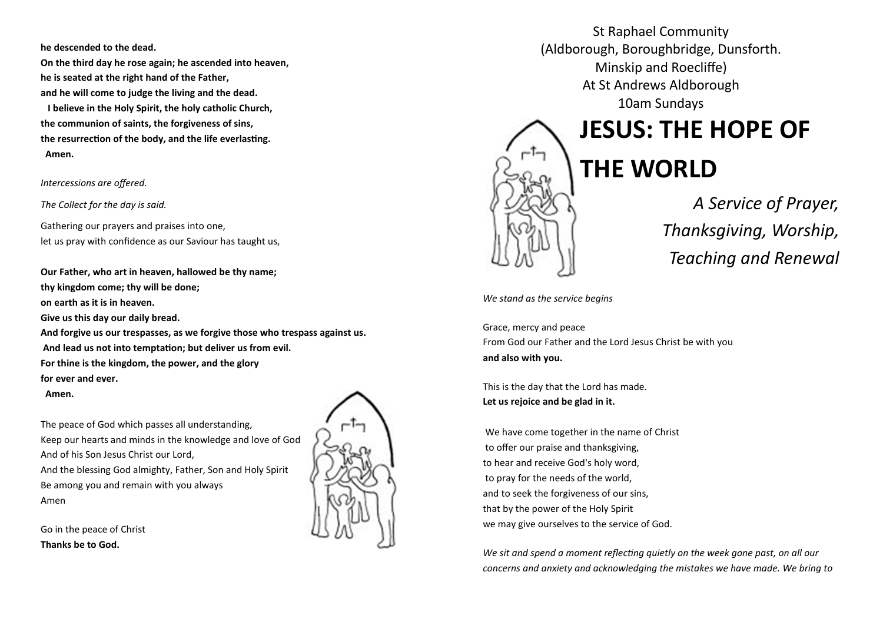**he descended to the dead.** 

**On the third day he rose again; he ascended into heaven, he is seated at the right hand of the Father, and he will come to judge the living and the dead.** 

 **I believe in the Holy Spirit, the holy catholic Church, the communion of saints, the forgiveness of sins, the resurrection of the body, and the life everlasting. Amen.**

*Intercessions are offered.*

*The Collect for the day is said.*

Gathering our prayers and praises into one, let us pray with confidence as our Saviour has taught us,

**Our Father, who art in heaven, hallowed be thy name; thy kingdom come; thy will be done; on earth as it is in heaven. Give us this day our daily bread. And forgive us our trespasses, as we forgive those who trespass against us. And lead us not into temptation; but deliver us from evil. For thine is the kingdom, the power, and the glory for ever and ever. Amen.** 

The peace of God which passes all understanding, Keep our hearts and minds in the knowledge and love of God And of his Son Jesus Christ our Lord, And the blessing God almighty, Father, Son and Holy Spirit Be among you and remain with you always Amen

Go in the peace of Christ **Thanks be to God.**



 (Aldborough, Boroughbridge, Dunsforth. St Raphael Community Minskip and Roecliffe) At St Andrews Aldborough 10am Sundays

# **JESUS: THE HOPE OF**

# **THE WORLD**



*A Service of Prayer, Thanksgiving, Worship, Teaching and Renewal*

*We stand as the service begins*

Grace, mercy and peace From God our Father and the Lord Jesus Christ be with you **and also with you.** 

This is the day that the Lord has made. **Let us rejoice and be glad in it.** 

We have come together in the name of Christ to offer our praise and thanksgiving, to hear and receive God's holy word, to pray for the needs of the world, and to seek the forgiveness of our sins, that by the power of the Holy Spirit we may give ourselves to the service of God.

*We sit and spend a moment reflecting quietly on the week gone past, on all our concerns and anxiety and acknowledging the mistakes we have made. We bring to*